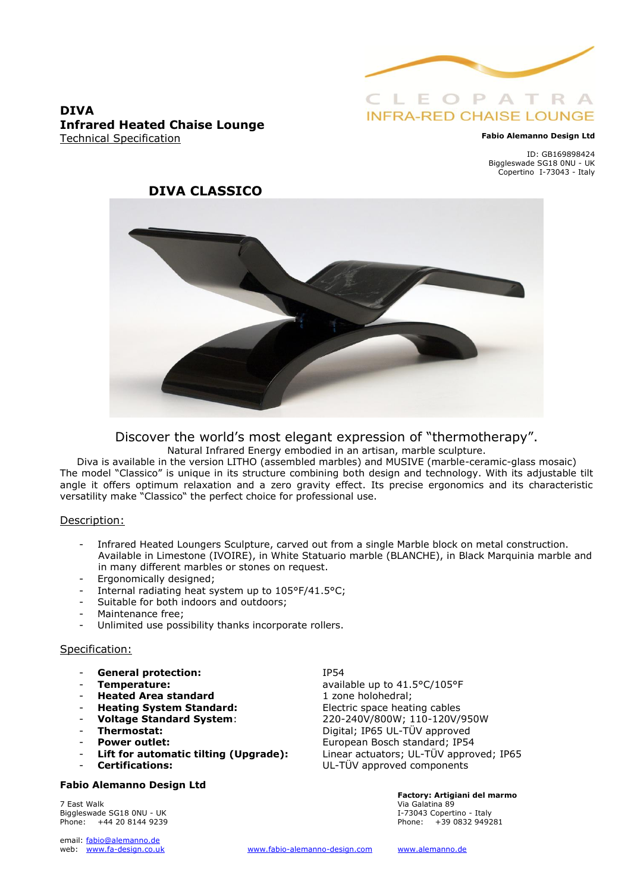

# **INFRA-RED CHAISE LOUNGE**

#### **Fabio Alemanno Design Ltd**

ID: GB169898424 Biggleswade SG18 0NU - UK Copertino I-73043 - Italy

### **DIVA Infrared Heated Chaise Lounge** Technical Specification



### Discover the world's most elegant expression of "thermotherapy". Natural Infrared Energy embodied in an artisan, marble sculpture.

Diva is available in the version LITHO (assembled marbles) and MUSIVE (marble-ceramic-glass mosaic) The model "Classico" is unique in its structure combining both design and technology. With its adjustable tilt angle it offers optimum relaxation and a zero gravity effect. Its precise ergonomics and its characteristic versatility make "Classico" the perfect choice for professional use.

#### Description:

- Infrared Heated Loungers Sculpture, carved out from a single Marble block on metal construction. Available in Limestone (IVOIRE), in White Statuario marble (BLANCHE), in Black Marquinia marble and in many different marbles or stones on request.
- Ergonomically designed;
- Internal radiating heat system up to 105°F/41.5°C;
- Suitable for both indoors and outdoors;
- Maintenance free;
- Unlimited use possibility thanks incorporate rollers.

### Specification:

- General protection: **IP54**
- 
- **Heated Area standard** 1 zone holohedral;
- 
- 
- 
- 
- 
- 

### **Fabio Alemanno Design Ltd**

7 East Walk Via Galatina 89 Biggleswade SG18 0NU - UK **I-73043** Copertino - Italy Phone: +44 20 8144 9239 Phone: +39 0832 949281

email: fabio@alemanno.de<br>web: www.fa-design.co.uk

**Temperature:** available up to 41.5°C/105°F **Heating System Standard:** Electric space heating cables - **Voltage Standard System**: 220-240V/800W; 110-120V/950W - **Thermostat:** Digital; IP65 UL-TÜV approved **Power outlet:** European Bosch standard; IP54 - **Lift for automatic tilting (Upgrade):** Linear actuators; UL-TÜV approved; IP65 - **Certifications:** UL-TÜV approved components

**Factory: Artigiani del marmo**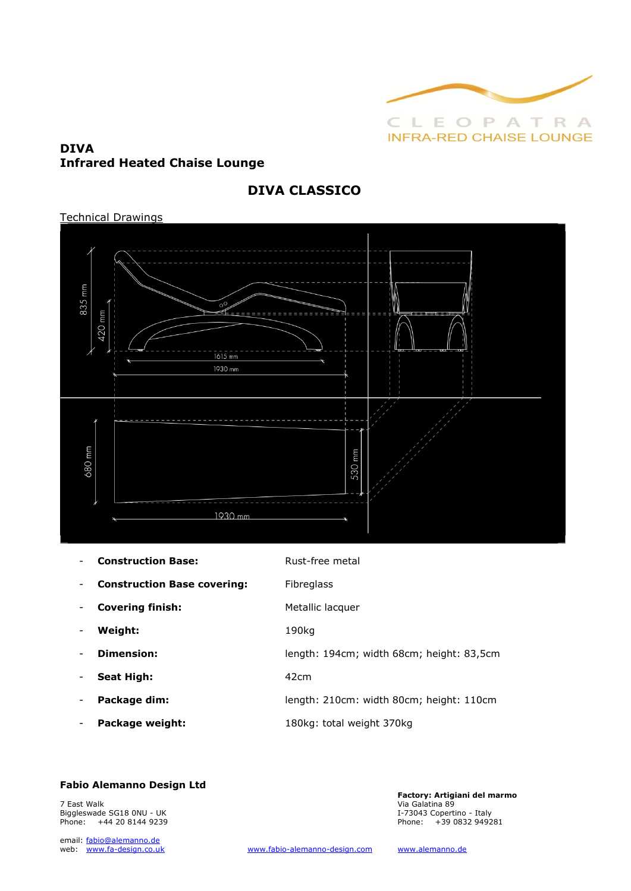

## **DIVA Infrared Heated Chaise Lounge**

## **DIVA CLASSICO**

### Technical Drawings



|                          | <b>Construction Base:</b>          | Rust-free metal                           |
|--------------------------|------------------------------------|-------------------------------------------|
| -                        | <b>Construction Base covering:</b> | <b>Fibreglass</b>                         |
| $\overline{\phantom{a}}$ | <b>Covering finish:</b>            | Metallic lacquer                          |
|                          | Weight:                            | 190kg                                     |
|                          | Dimension:                         | length: 194cm; width 68cm; height: 83,5cm |
| -                        | <b>Seat High:</b>                  | 42 <sub>cm</sub>                          |
|                          | Package dim:                       | length: 210cm: width 80cm; height: 110cm  |
| $\overline{\phantom{a}}$ | Package weight:                    | 180kg: total weight 370kg                 |

### **Fabio Alemanno Design Ltd**

7 East Walk Via Galatina 89 Phone: +44 20 8144 9239

email: fabio@alemanno.de<br>web: www.fa-design.co.uk

**Factory: Artigiani del marmo**  Biggleswade SG18 0NU - UK 1-73043 Copertino - Italy<br>
Phone: 1999 199281 1999 199281 199282 199281 199281 19932 199281